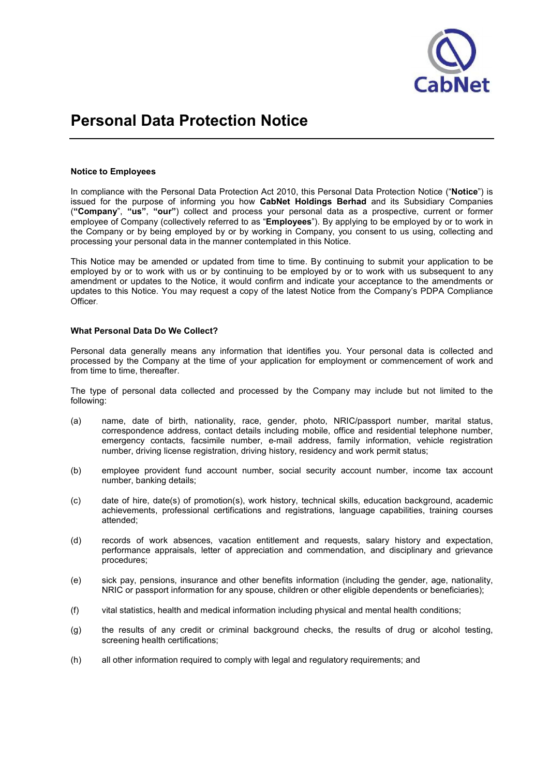

### Notice to Employees

In compliance with the Personal Data Protection Act 2010, this Personal Data Protection Notice ("Notice") is issued for the purpose of informing you how CabNet Holdings Berhad and its Subsidiary Companies ("Company", "us", "our") collect and process your personal data as a prospective, current or former employee of Company (collectively referred to as "Employees"). By applying to be employed by or to work in the Company or by being employed by or by working in Company, you consent to us using, collecting and processing your personal data in the manner contemplated in this Notice.

This Notice may be amended or updated from time to time. By continuing to submit your application to be employed by or to work with us or by continuing to be employed by or to work with us subsequent to any amendment or updates to the Notice, it would confirm and indicate your acceptance to the amendments or updates to this Notice. You may request a copy of the latest Notice from the Company's PDPA Compliance Officer.

#### What Personal Data Do We Collect?

Personal data generally means any information that identifies you. Your personal data is collected and processed by the Company at the time of your application for employment or commencement of work and from time to time, thereafter.

The type of personal data collected and processed by the Company may include but not limited to the following:

- (a) name, date of birth, nationality, race, gender, photo, NRIC/passport number, marital status, correspondence address, contact details including mobile, office and residential telephone number, emergency contacts, facsimile number, e-mail address, family information, vehicle registration number, driving license registration, driving history, residency and work permit status;
- (b) employee provident fund account number, social security account number, income tax account number, banking details;
- (c) date of hire, date(s) of promotion(s), work history, technical skills, education background, academic achievements, professional certifications and registrations, language capabilities, training courses attended;
- (d) records of work absences, vacation entitlement and requests, salary history and expectation, performance appraisals, letter of appreciation and commendation, and disciplinary and grievance procedures;
- (e) sick pay, pensions, insurance and other benefits information (including the gender, age, nationality, NRIC or passport information for any spouse, children or other eligible dependents or beneficiaries);
- (f) vital statistics, health and medical information including physical and mental health conditions;
- (g) the results of any credit or criminal background checks, the results of drug or alcohol testing, screening health certifications;
- (h) all other information required to comply with legal and regulatory requirements; and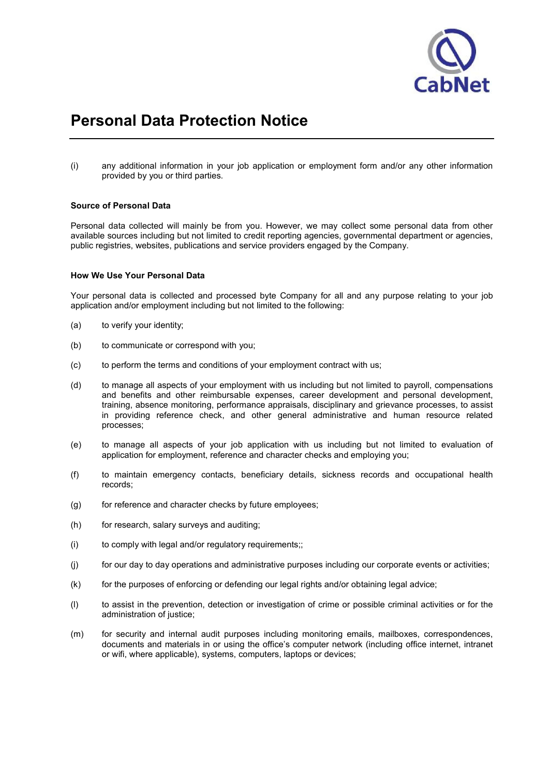

(i) any additional information in your job application or employment form and/or any other information provided by you or third parties.

### Source of Personal Data

Personal data collected will mainly be from you. However, we may collect some personal data from other available sources including but not limited to credit reporting agencies, governmental department or agencies, public registries, websites, publications and service providers engaged by the Company.

### How We Use Your Personal Data

Your personal data is collected and processed byte Company for all and any purpose relating to your job application and/or employment including but not limited to the following:

- (a) to verify your identity;
- (b) to communicate or correspond with you;
- (c) to perform the terms and conditions of your employment contract with us;
- (d) to manage all aspects of your employment with us including but not limited to payroll, compensations and benefits and other reimbursable expenses, career development and personal development, training, absence monitoring, performance appraisals, disciplinary and grievance processes, to assist in providing reference check, and other general administrative and human resource related processes;
- (e) to manage all aspects of your job application with us including but not limited to evaluation of application for employment, reference and character checks and employing you;
- (f) to maintain emergency contacts, beneficiary details, sickness records and occupational health records;
- (g) for reference and character checks by future employees;
- (h) for research, salary surveys and auditing;
- (i) to comply with legal and/or regulatory requirements;;
- (j) for our day to day operations and administrative purposes including our corporate events or activities;
- (k) for the purposes of enforcing or defending our legal rights and/or obtaining legal advice;
- (l) to assist in the prevention, detection or investigation of crime or possible criminal activities or for the administration of justice;
- (m) for security and internal audit purposes including monitoring emails, mailboxes, correspondences, documents and materials in or using the office's computer network (including office internet, intranet or wifi, where applicable), systems, computers, laptops or devices;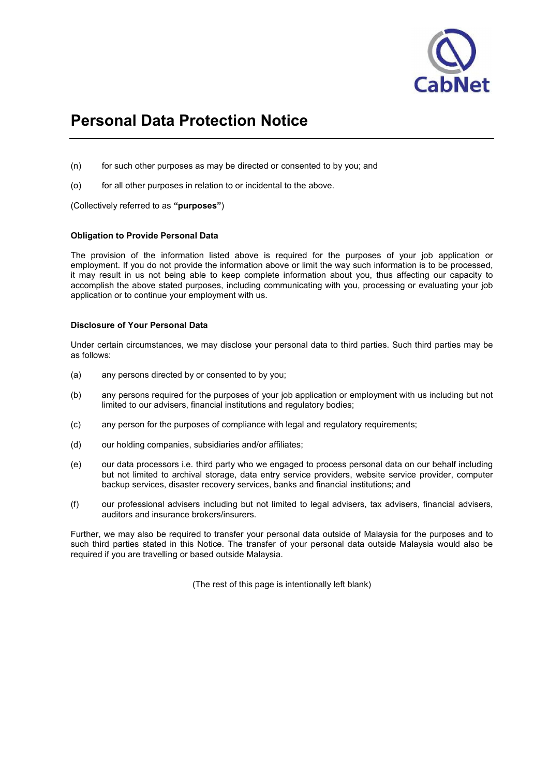

- (n) for such other purposes as may be directed or consented to by you; and
- (o) for all other purposes in relation to or incidental to the above.

(Collectively referred to as "purposes")

## Obligation to Provide Personal Data

The provision of the information listed above is required for the purposes of your job application or employment. If you do not provide the information above or limit the way such information is to be processed, it may result in us not being able to keep complete information about you, thus affecting our capacity to accomplish the above stated purposes, including communicating with you, processing or evaluating your job application or to continue your employment with us.

## Disclosure of Your Personal Data

Under certain circumstances, we may disclose your personal data to third parties. Such third parties may be as follows:

- (a) any persons directed by or consented to by you;
- (b) any persons required for the purposes of your job application or employment with us including but not limited to our advisers, financial institutions and regulatory bodies;
- (c) any person for the purposes of compliance with legal and regulatory requirements;
- (d) our holding companies, subsidiaries and/or affiliates;
- (e) our data processors i.e. third party who we engaged to process personal data on our behalf including but not limited to archival storage, data entry service providers, website service provider, computer backup services, disaster recovery services, banks and financial institutions; and
- (f) our professional advisers including but not limited to legal advisers, tax advisers, financial advisers, auditors and insurance brokers/insurers.

Further, we may also be required to transfer your personal data outside of Malaysia for the purposes and to such third parties stated in this Notice. The transfer of your personal data outside Malaysia would also be required if you are travelling or based outside Malaysia.

(The rest of this page is intentionally left blank)